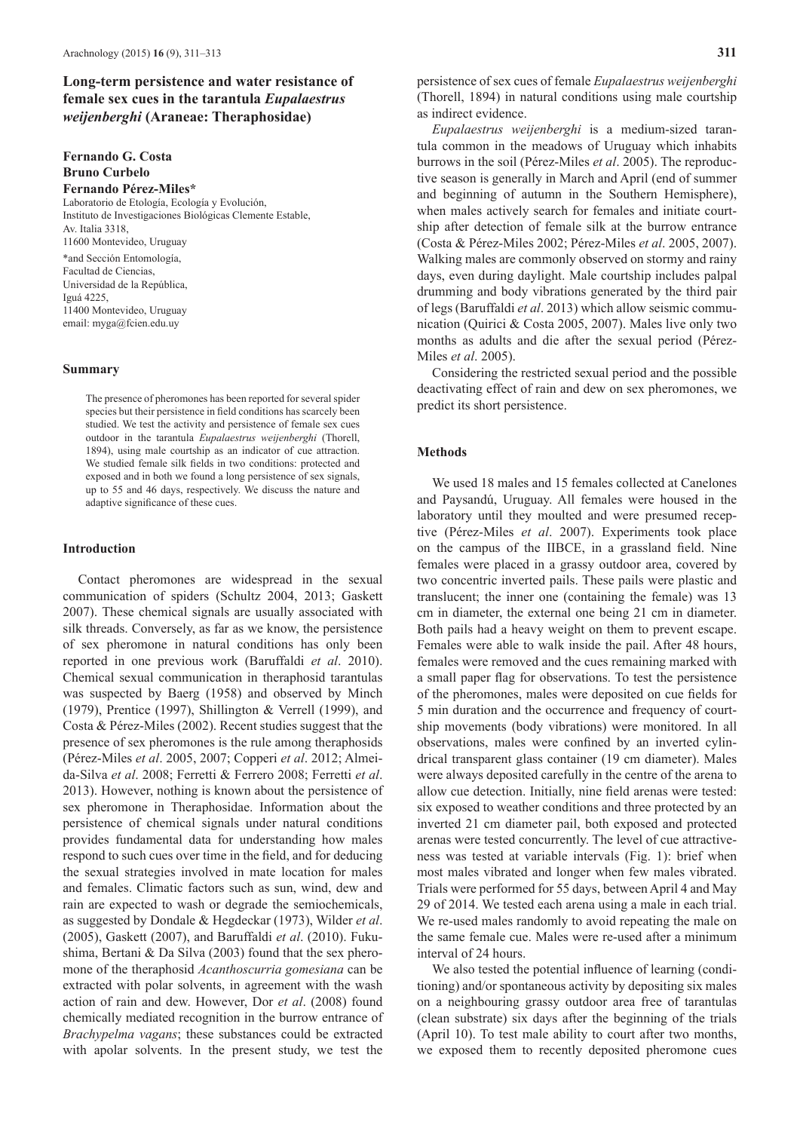# **Long-term persistence and water resistance of female sex cues in the tarantula** *Eupalaestrus weijenberghi* **(Araneae: Theraphosidae)**

## **Fernando G. Costa Bruno Curbelo Fernando Pérez-Miles\***

Laboratorio de Etología, Ecología y Evolución, Instituto de Investigaciones Biológicas Clemente Estable, Av. Italia 3318, 11600 Montevideo, Uruguay \*and Sección Entomología, Facultad de Ciencias, Universidad de la República, Iguá 4225, 11400 Montevideo, Uruguay email: myga@fcien.edu.uy

## **Summary**

The presence of pheromones has been reported for several spider species but their persistence in field conditions has scarcely been studied. We test the activity and persistence of female sex cues outdoor in the tarantula *Eupalaestrus weijenberghi* (Thorell, 1894), using male courtship as an indicator of cue attraction. We studied female silk fields in two conditions: protected and exposed and in both we found a long persistence of sex signals, up to 55 and 46 days, respectively. We discuss the nature and adaptive significance of these cues.

## **Introduction**

Contact pheromones are widespread in the sexual communication of spiders (Schultz 2004, 2013; Gaskett 2007). These chemical signals are usually associated with silk threads. Conversely, as far as we know, the persistence of sex pheromone in natural conditions has only been reported in one previous work (Baruffaldi *et al*. 2010). Chemical sexual communication in theraphosid tarantulas was suspected by Baerg (1958) and observed by Minch (1979), Prentice (1997), Shillington & Verrell (1999), and Costa & Pérez-Miles (2002). Recent studies suggest that the presence of sex pheromones is the rule among theraphosids (Pérez-Miles *et al*. 2005, 2007; Copperi *et al*. 2012; Almeida-Silva *et al*. 2008; Ferretti & Ferrero 2008; Ferretti *et al*. 2013). However, nothing is known about the persistence of sex pheromone in Theraphosidae. Information about the persistence of chemical signals under natural conditions provides fundamental data for understanding how males respond to such cues over time in the field, and for deducing the sexual strategies involved in mate location for males and females. Climatic factors such as sun, wind, dew and rain are expected to wash or degrade the semiochemicals, as suggested by Dondale & Hegdeckar (1973), Wilder *et al*. (2005), Gaskett (2007), and Baruffaldi *et al*. (2010). Fukushima, Bertani & Da Silva (2003) found that the sex pheromone of the theraphosid *Acanthoscurria gomesiana* can be extracted with polar solvents, in agreement with the wash action of rain and dew. However, Dor *et al*. (2008) found chemically mediated recognition in the burrow entrance of *Brachypelma vagans*; these substances could be extracted with apolar solvents. In the present study, we test the

persistence of sex cues of female *Eupalaestrus weijenberghi* (Thorell, 1894) in natural conditions using male courtship as indirect evidence.

*Eupalaestrus weijenberghi* is a medium-sized tarantula common in the meadows of Uruguay which inhabits burrows in the soil (Pérez-Miles *et al*. 2005). The reproductive season is generally in March and April (end of summer and beginning of autumn in the Southern Hemisphere), when males actively search for females and initiate courtship after detection of female silk at the burrow entrance (Costa & Pérez-Miles 2002; Pérez-Miles *et al*. 2005, 2007). Walking males are commonly observed on stormy and rainy days, even during daylight. Male courtship includes palpal drumming and body vibrations generated by the third pair of legs (Baruffaldi *et al*. 2013) which allow seismic communication (Quirici & Costa 2005, 2007). Males live only two months as adults and die after the sexual period (Pérez-Miles *et al*. 2005).

Considering the restricted sexual period and the possible deactivating effect of rain and dew on sex pheromones, we predict its short persistence.

## **Methods**

We used 18 males and 15 females collected at Canelones and Paysandú, Uruguay. All females were housed in the laboratory until they moulted and were presumed receptive (Pérez-Miles *et al*. 2007). Experiments took place on the campus of the IIBCE, in a grassland field. Nine females were placed in a grassy outdoor area, covered by two concentric inverted pails. These pails were plastic and translucent; the inner one (containing the female) was 13 cm in diameter, the external one being 21 cm in diameter. Both pails had a heavy weight on them to prevent escape. Females were able to walk inside the pail. After 48 hours, females were removed and the cues remaining marked with a small paper flag for observations. To test the persistence of the pheromones, males were deposited on cue fields for 5 min duration and the occurrence and frequency of courtship movements (body vibrations) were monitored. In all observations, males were confined by an inverted cylindrical transparent glass container (19 cm diameter). Males were always deposited carefully in the centre of the arena to allow cue detection. Initially, nine field arenas were tested: six exposed to weather conditions and three protected by an inverted 21 cm diameter pail, both exposed and protected arenas were tested concurrently. The level of cue attractiveness was tested at variable intervals (Fig. 1): brief when most males vibrated and longer when few males vibrated. Trials were performed for 55 days, between April 4 and May 29 of 2014. We tested each arena using a male in each trial. We re-used males randomly to avoid repeating the male on the same female cue. Males were re-used after a minimum interval of 24 hours.

We also tested the potential influence of learning (conditioning) and/or spontaneous activity by depositing six males on a neighbouring grassy outdoor area free of tarantulas (clean substrate) six days after the beginning of the trials (April 10). To test male ability to court after two months, we exposed them to recently deposited pheromone cues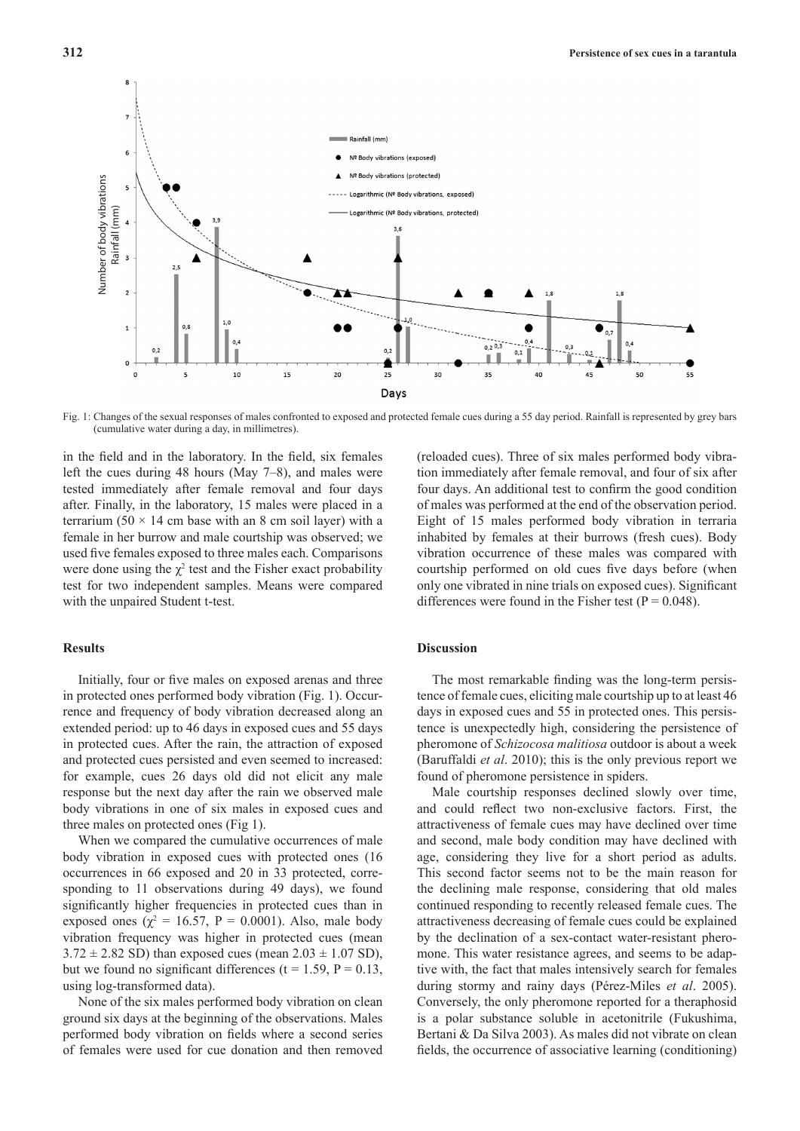Rainfall (mm)  $\epsilon$ Nº Body vibrations (exposed) Nº Body vibrations (protected) Changes of the sexual responses of males confrom<br>
Changes of the sexual responses of males confrom<br>  $\begin{bmatrix}\n\cdot & \cdot & \cdot & \cdot \\
\cdot & \cdot & \cdot & \cdot \\
\cdot & \cdot & \cdot & \cdot \\
\cdot & \cdot & \cdot & \cdot \\
\cdot & \cdot & \cdot & \cdot \\
\cdot & \cdot & \cdot & \cdot \\
\cdot & \cdot & \cdot & \cdot \\
\cdot & \cdot & \cdot & \cdot \\
\cdot & \cdot & \cdot & \cdot \\
\cdot & \cdot$ Logarithmic (Nº Body vibrations, exposed) Logarithmic (№ Body vibrations, protected)  $\overline{\phantom{a}}$  $1<sup>o</sup>$  $1,0$ ٥,٠  $0,2,0,3$  $0,2$  $0.1$ Щ ĕ  $\overline{25}$ 35  $45$  $30$ 50  $20$ 40 Days

Fig. 1: Changes of the sexual responses of males confronted to exposed and protected female cues during a 55 day period. Rainfall is represented by grey bars (cumulative water during a day, in millimetres).

in the field and in the laboratory. In the field, six females left the cues during 48 hours (May 7–8), and males were tested immediately after female removal and four days after. Finally, in the laboratory, 15 males were placed in a terrarium (50  $\times$  14 cm base with an 8 cm soil layer) with a female in her burrow and male courtship was observed; we used five females exposed to three males each. Comparisons were done using the  $\chi^2$  test and the Fisher exact probability test for two independent samples. Means were compared with the unpaired Student t-test.

## **Results**

Initially, four or five males on exposed arenas and three in protected ones performed body vibration (Fig. 1). Occurrence and frequency of body vibration decreased along an extended period: up to 46 days in exposed cues and 55 days in protected cues. After the rain, the attraction of exposed and protected cues persisted and even seemed to increased: for example, cues 26 days old did not elicit any male response but the next day after the rain we observed male body vibrations in one of six males in exposed cues and three males on protected ones (Fig 1).

When we compared the cumulative occurrences of male body vibration in exposed cues with protected ones (16 occurrences in 66 exposed and 20 in 33 protected, corresponding to 11 observations during 49 days), we found significantly higher frequencies in protected cues than in exposed ones ( $\chi^2 = 16.57$ , P = 0.0001). Also, male body vibration frequency was higher in protected cues (mean  $3.72 \pm 2.82$  SD) than exposed cues (mean  $2.03 \pm 1.07$  SD), but we found no significant differences ( $t = 1.59$ ,  $P = 0.13$ , using log-transformed data).

None of the six males performed body vibration on clean ground six days at the beginning of the observations. Males performed body vibration on fields where a second series of females were used for cue donation and then removed (reloaded cues). Three of six males performed body vibration immediately after female removal, and four of six after four days. An additional test to confirm the good condition of males was performed at the end of the observation period. Eight of 15 males performed body vibration in terraria inhabited by females at their burrows (fresh cues). Body vibration occurrence of these males was compared with courtship performed on old cues five days before (when only one vibrated in nine trials on exposed cues). Significant differences were found in the Fisher test ( $P = 0.048$ ).

## **Discussion**

The most remarkable finding was the long-term persistence of female cues, eliciting male courtship up to at least 46 days in exposed cues and 55 in protected ones. This persistence is unexpectedly high, considering the persistence of pheromone of *Schizocosa malitiosa* outdoor is about a week (Baruffaldi *et al*. 2010); this is the only previous report we found of pheromone persistence in spiders.

Male courtship responses declined slowly over time, and could reflect two non-exclusive factors. First, the attractiveness of female cues may have declined over time and second, male body condition may have declined with age, considering they live for a short period as adults. This second factor seems not to be the main reason for the declining male response, considering that old males continued responding to recently released female cues. The attractiveness decreasing of female cues could be explained by the declination of a sex-contact water-resistant pheromone. This water resistance agrees, and seems to be adaptive with, the fact that males intensively search for females during stormy and rainy days (Pérez-Miles *et al*. 2005). Conversely, the only pheromone reported for a theraphosid is a polar substance soluble in acetonitrile (Fukushima, Bertani & Da Silva 2003). As males did not vibrate on clean fields, the occurrence of associative learning (conditioning)